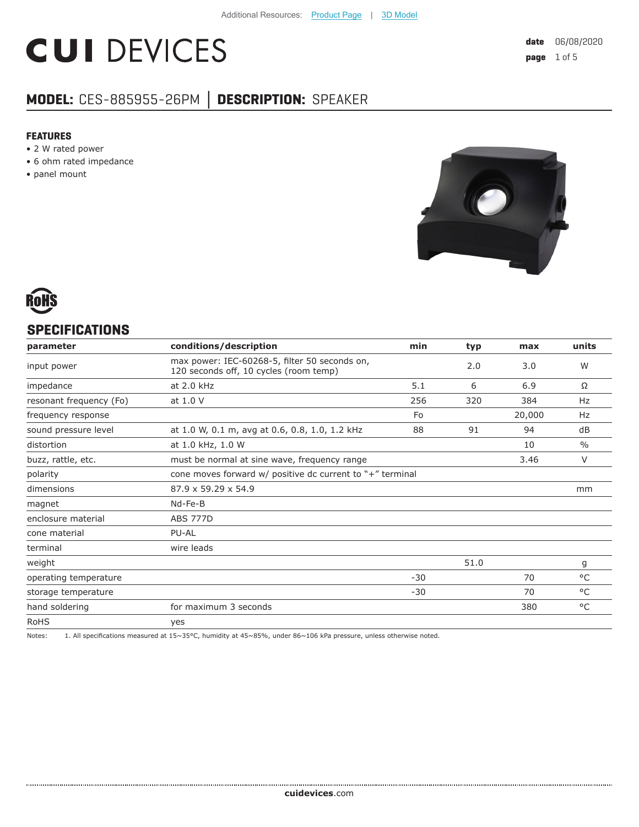# **CUI DEVICES**

### **MODEL:** CES-885955-26PM **│ DESCRIPTION:** SPEAKER

#### **FEATURES**

- 2 W rated power
- 6 ohm rated impedance
- panel mount





#### **SPECIFICATIONS**

| parameter               | conditions/description                                                                  | min   | typ  | max    | units         |
|-------------------------|-----------------------------------------------------------------------------------------|-------|------|--------|---------------|
| input power             | max power: IEC-60268-5, filter 50 seconds on,<br>120 seconds off, 10 cycles (room temp) |       | 2.0  | 3.0    | W             |
| impedance               | at 2.0 kHz                                                                              | 5.1   | 6    | 6.9    | Ω             |
| resonant frequency (Fo) | at 1.0 V                                                                                | 256   | 320  | 384    | Hz            |
| frequency response      |                                                                                         | Fo    |      | 20,000 | Hz            |
| sound pressure level    | at 1.0 W, 0.1 m, avg at 0.6, 0.8, 1.0, 1.2 kHz                                          | 88    | 91   | 94     | dB            |
| distortion              | at 1.0 kHz, 1.0 W                                                                       |       |      | 10     | $\frac{0}{0}$ |
| buzz, rattle, etc.      | must be normal at sine wave, frequency range                                            |       |      | 3.46   | $\vee$        |
| polarity                | cone moves forward $w/$ positive dc current to $"$ +" terminal                          |       |      |        |               |
| dimensions              | 87.9 x 59.29 x 54.9                                                                     |       |      |        | mm            |
| magnet                  | Nd-Fe-B                                                                                 |       |      |        |               |
| enclosure material      | <b>ABS 777D</b>                                                                         |       |      |        |               |
| cone material           | PU-AL                                                                                   |       |      |        |               |
| terminal                | wire leads                                                                              |       |      |        |               |
| weight                  |                                                                                         |       | 51.0 |        | g             |
| operating temperature   |                                                                                         | $-30$ |      | 70     | $^{\circ}$ C  |
| storage temperature     |                                                                                         | $-30$ |      | 70     | $^{\circ}$ C  |
| hand soldering          | for maximum 3 seconds                                                                   |       |      | 380    | $^{\circ}$ C  |
| <b>RoHS</b>             | yes                                                                                     |       |      |        |               |

Notes: 1. All specifications measured at 15~35°C, humidity at 45~85%, under 86~106 kPa pressure, unless otherwise noted.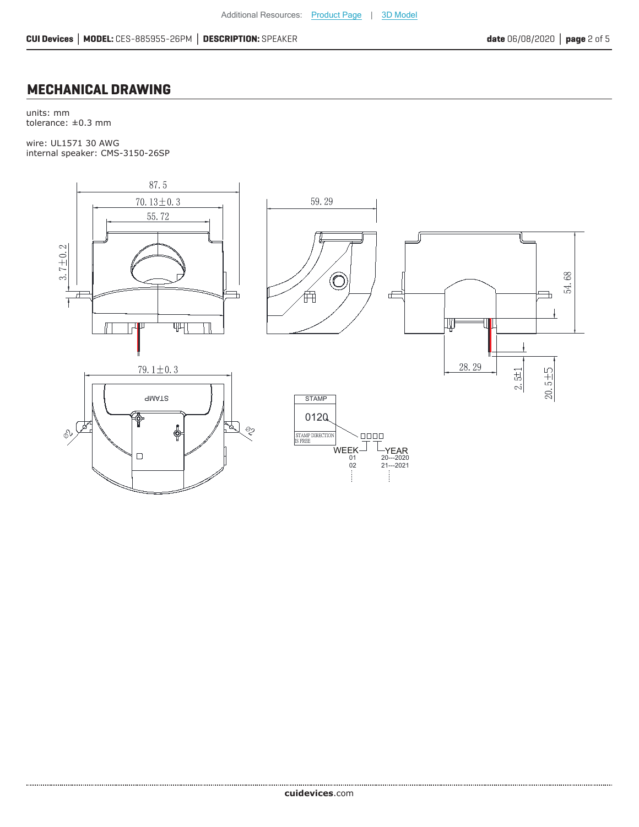#### **MECHANICAL DRAWING**

units: mm tolerance: ±0.3 mm

wire: UL1571 30 AWG internal speaker: CMS-3150-26SP

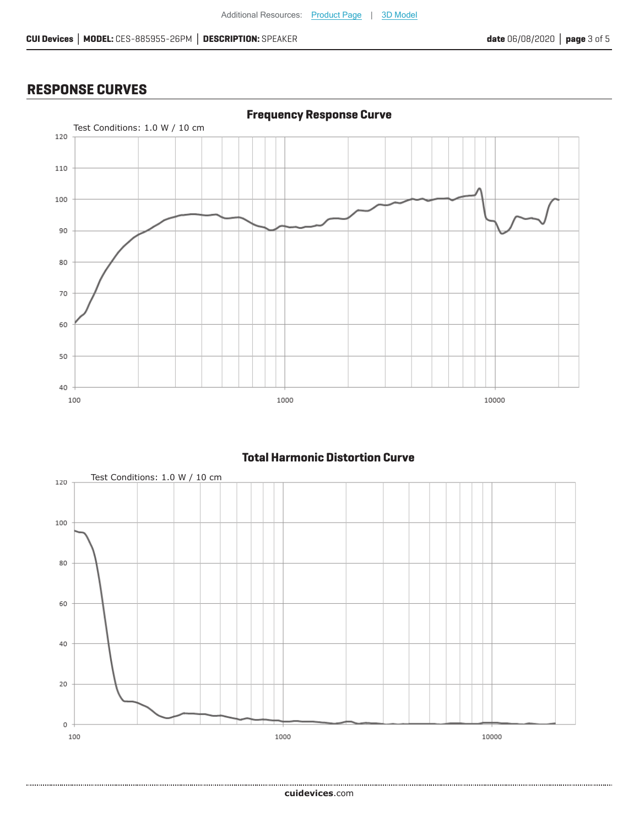#### **RESPONSE CURVES**

.................



#### **Total Harmonic Distortion Curve**

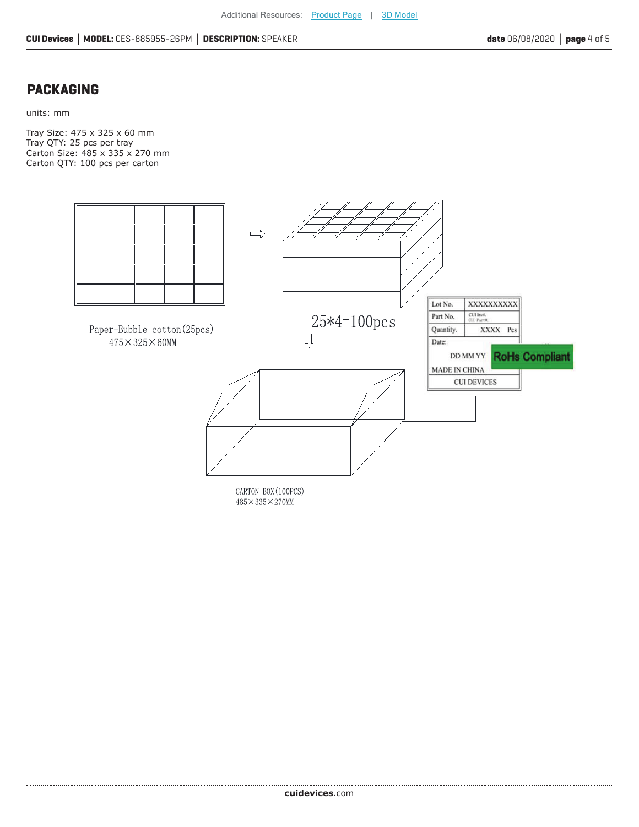#### **PACKAGING**

units: mm

Tray Size: 475 x 325 x 60 mm Tray QTY: 25 pcs per tray Carton Size: 485 x 335 x 270 mm Carton QTY: 100 pcs per carton